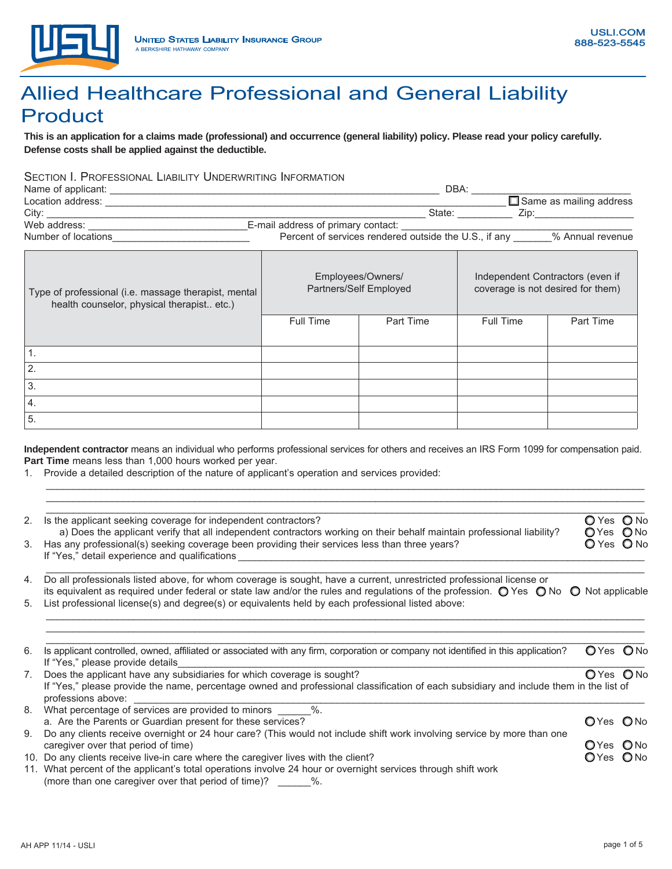

# Allied Healthcare Professional and General Liability Product

**This is an application for a claims made (professional) and occurrence (general liability) policy. Please read your policy carefully. Defense costs shall be applied against the deductible.**

### SECTION I. PROFESSIONAL LIABILITY UNDERWRITING INFORMATION

| DBA:                                                  |                                |
|-------------------------------------------------------|--------------------------------|
|                                                       | $\Box$ Same as mailing address |
| State:                                                | Zip:                           |
| E-mail address of primary contact:                    |                                |
| Percent of services rendered outside the U.S., if any | % Annual revenue               |
|                                                       |                                |

| Type of professional (i.e. massage therapist, mental<br>health counselor, physical therapist etc.) |           | Employees/Owners/<br>Partners/Self Employed | Independent Contractors (even if<br>coverage is not desired for them) |           |  |
|----------------------------------------------------------------------------------------------------|-----------|---------------------------------------------|-----------------------------------------------------------------------|-----------|--|
|                                                                                                    | Full Time | Part Time                                   | <b>Full Time</b>                                                      | Part Time |  |
|                                                                                                    |           |                                             |                                                                       |           |  |
|                                                                                                    |           |                                             |                                                                       |           |  |
| 2.                                                                                                 |           |                                             |                                                                       |           |  |
| 3.                                                                                                 |           |                                             |                                                                       |           |  |
| 4.                                                                                                 |           |                                             |                                                                       |           |  |
| 5.                                                                                                 |           |                                             |                                                                       |           |  |

**Independent contractor** means an individual who performs professional services for others and receives an IRS Form 1099 for compensation paid. Part Time means less than 1,000 hours worked per year.

 $\mathcal{L}_\text{max} = \frac{1}{2} \sum_{i=1}^{n} \mathcal{L}_\text{max} = \frac{1}{2} \sum_{i=1}^{n} \mathcal{L}_\text{max} = \frac{1}{2} \sum_{i=1}^{n} \mathcal{L}_\text{max} = \frac{1}{2} \sum_{i=1}^{n} \mathcal{L}_\text{max} = \frac{1}{2} \sum_{i=1}^{n} \mathcal{L}_\text{max} = \frac{1}{2} \sum_{i=1}^{n} \mathcal{L}_\text{max} = \frac{1}{2} \sum_{i=1}^{n} \mathcal{L}_\text{max} = \frac{1}{$ 

1. Provide a detailed description of the nature of applicant's operation and services provided:

| 2. | Is the applicant seeking coverage for independent contractors?<br>a) Does the applicant verify that all independent contractors working on their behalf maintain professional liability?                                                                                                 | O Yes O No<br>OYes ONo |  |
|----|------------------------------------------------------------------------------------------------------------------------------------------------------------------------------------------------------------------------------------------------------------------------------------------|------------------------|--|
| 3. | Has any professional(s) seeking coverage been providing their services less than three years?<br>If "Yes," detail experience and qualifications                                                                                                                                          | O Yes O No             |  |
| 4. | Do all professionals listed above, for whom coverage is sought, have a current, unrestricted professional license or<br>its equivalent as required under federal or state law and/or the rules and regulations of the profession. $\bigcirc$ Yes $\bigcirc$ No $\bigcirc$ Not applicable |                        |  |
| 5. | List professional license(s) and degree(s) or equivalents held by each professional listed above:                                                                                                                                                                                        |                        |  |
| 6. | Is applicant controlled, owned, affiliated or associated with any firm, corporation or company not identified in this application?<br>If "Yes," please provide details                                                                                                                   | OYes ONo               |  |
| 7. | Does the applicant have any subsidiaries for which coverage is sought?<br>If "Yes," please provide the name, percentage owned and professional classification of each subsidiary and include them in the list of<br>professions above:                                                   | OYes ONo               |  |
| 8. | What percentage of services are provided to minors %.<br>a. Are the Parents or Guardian present for these services?                                                                                                                                                                      | OYes ONo               |  |
| 9. | Do any clients receive overnight or 24 hour care? (This would not include shift work involving service by more than one<br>caregiver over that period of time)                                                                                                                           | OYes ONo               |  |
|    | 10. Do any clients receive live-in care where the caregiver lives with the client?<br>11. What percent of the applicant's total operations involve 24 hour or overnight services through shift work<br>(more than one caregiver over that period of time)?<br>$\%$ .                     | OYes ONo               |  |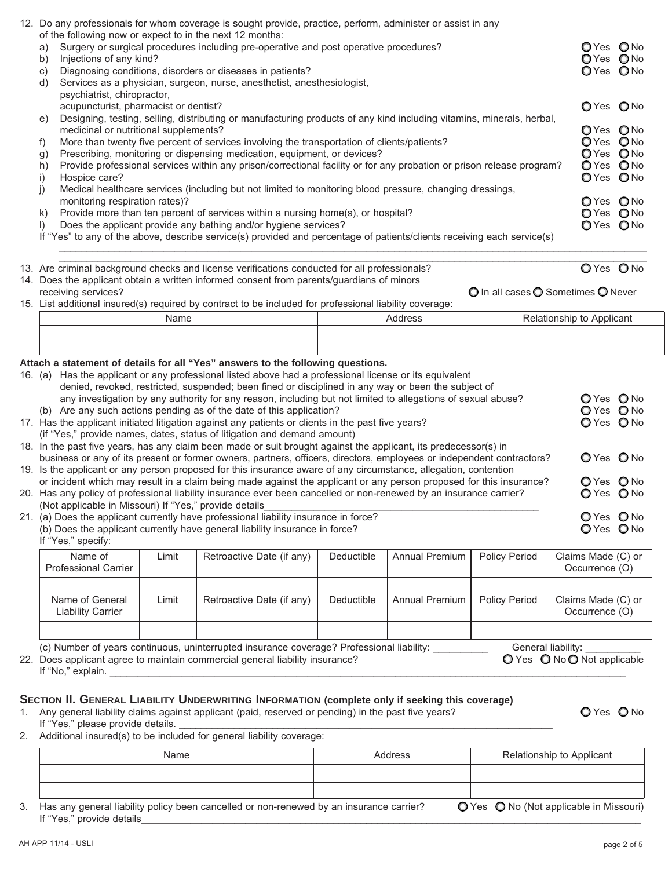| of the following now or expect to in the next 12 months:                                                                                                                                                                                                                                                                                                                                                                                                                                                                                                                                                                                                                                                              |       | 12. Do any professionals for whom coverage is sought provide, practice, perform, administer or assist in any                                                                                                                                                                                                                                                                               |            |                       |                      |                                                   |
|-----------------------------------------------------------------------------------------------------------------------------------------------------------------------------------------------------------------------------------------------------------------------------------------------------------------------------------------------------------------------------------------------------------------------------------------------------------------------------------------------------------------------------------------------------------------------------------------------------------------------------------------------------------------------------------------------------------------------|-------|--------------------------------------------------------------------------------------------------------------------------------------------------------------------------------------------------------------------------------------------------------------------------------------------------------------------------------------------------------------------------------------------|------------|-----------------------|----------------------|---------------------------------------------------|
| Surgery or surgical procedures including pre-operative and post operative procedures?<br>a)<br>Injections of any kind?<br>b)<br>Diagnosing conditions, disorders or diseases in patients?<br>C)<br>Services as a physician, surgeon, nurse, anesthetist, anesthesiologist,<br>d)                                                                                                                                                                                                                                                                                                                                                                                                                                      |       |                                                                                                                                                                                                                                                                                                                                                                                            |            |                       |                      |                                                   |
| psychiatrist, chiropractor,<br>acupuncturist, pharmacist or dentist?                                                                                                                                                                                                                                                                                                                                                                                                                                                                                                                                                                                                                                                  |       |                                                                                                                                                                                                                                                                                                                                                                                            |            |                       |                      | OYes ONo                                          |
| Designing, testing, selling, distributing or manufacturing products of any kind including vitamins, minerals, herbal,<br>e)<br>medicinal or nutritional supplements?<br>More than twenty five percent of services involving the transportation of clients/patients?<br>f)<br>Prescribing, monitoring or dispensing medication, equipment, or devices?<br>g)<br>Provide professional services within any prison/correctional facility or for any probation or prison release program?<br>h)<br>Hospice care?<br>i)                                                                                                                                                                                                     |       |                                                                                                                                                                                                                                                                                                                                                                                            |            |                       |                      |                                                   |
| j)<br>monitoring respiration rates)?<br>k)<br>$\mathbf{D}$                                                                                                                                                                                                                                                                                                                                                                                                                                                                                                                                                                                                                                                            |       | Medical healthcare services (including but not limited to monitoring blood pressure, changing dressings,<br>Provide more than ten percent of services within a nursing home(s), or hospital?<br>Does the applicant provide any bathing and/or hygiene services?<br>If "Yes" to any of the above, describe service(s) provided and percentage of patients/clients receiving each service(s) |            |                       |                      | OYes ONo<br>OYes ONo<br>OYes ONo                  |
|                                                                                                                                                                                                                                                                                                                                                                                                                                                                                                                                                                                                                                                                                                                       |       | 13. Are criminal background checks and license verifications conducted for all professionals?                                                                                                                                                                                                                                                                                              |            |                       |                      | OYes ONo                                          |
| receiving services?                                                                                                                                                                                                                                                                                                                                                                                                                                                                                                                                                                                                                                                                                                   |       | 14. Does the applicant obtain a written informed consent from parents/guardians of minors<br>15. List additional insured(s) required by contract to be included for professional liability coverage:                                                                                                                                                                                       |            |                       |                      | O In all cases O Sometimes O Never                |
|                                                                                                                                                                                                                                                                                                                                                                                                                                                                                                                                                                                                                                                                                                                       | Name  |                                                                                                                                                                                                                                                                                                                                                                                            |            | Address               |                      | Relationship to Applicant                         |
|                                                                                                                                                                                                                                                                                                                                                                                                                                                                                                                                                                                                                                                                                                                       |       |                                                                                                                                                                                                                                                                                                                                                                                            |            |                       |                      |                                                   |
|                                                                                                                                                                                                                                                                                                                                                                                                                                                                                                                                                                                                                                                                                                                       |       |                                                                                                                                                                                                                                                                                                                                                                                            |            |                       |                      |                                                   |
| Attach a statement of details for all "Yes" answers to the following questions.<br>16. (a) Has the applicant or any professional listed above had a professional license or its equivalent<br>denied, revoked, restricted, suspended; been fined or disciplined in any way or been the subject of<br>O Yes O No<br>any investigation by any authority for any reason, including but not limited to allegations of sexual abuse?<br>O Yes O No<br>(b) Are any such actions pending as of the date of this application?<br>17. Has the applicant initiated litigation against any patients or clients in the past five years?<br>O Yes O No<br>(if "Yes," provide names, dates, status of litigation and demand amount) |       |                                                                                                                                                                                                                                                                                                                                                                                            |            |                       |                      |                                                   |
|                                                                                                                                                                                                                                                                                                                                                                                                                                                                                                                                                                                                                                                                                                                       |       | 18. In the past five years, has any claim been made or suit brought against the applicant, its predecessor(s) in<br>business or any of its present or former owners, partners, officers, directors, employees or independent contractors?                                                                                                                                                  |            |                       |                      | O Yes O No                                        |
| 19. Is the applicant or any person proposed for this insurance aware of any circumstance, allegation, contention<br>or incident which may result in a claim being made against the applicant or any person proposed for this insurance?<br>O Yes O No<br>20. Has any policy of professional liability insurance ever been cancelled or non-renewed by an insurance carrier?<br>O Yes O No                                                                                                                                                                                                                                                                                                                             |       |                                                                                                                                                                                                                                                                                                                                                                                            |            |                       |                      |                                                   |
| (Not applicable in Missouri) If "Yes," provide details<br>21. (a) Does the applicant currently have professional liability insurance in force?<br>O Yes O No<br>O Yes O No<br>(b) Does the applicant currently have general liability insurance in force?<br>If "Yes," specify:                                                                                                                                                                                                                                                                                                                                                                                                                                       |       |                                                                                                                                                                                                                                                                                                                                                                                            |            |                       |                      |                                                   |
| Name of<br><b>Professional Carrier</b>                                                                                                                                                                                                                                                                                                                                                                                                                                                                                                                                                                                                                                                                                | Limit | Retroactive Date (if any)                                                                                                                                                                                                                                                                                                                                                                  | Deductible | <b>Annual Premium</b> | Policy Period        | Claims Made (C) or<br>Occurrence (O)              |
| Name of General<br><b>Liability Carrier</b>                                                                                                                                                                                                                                                                                                                                                                                                                                                                                                                                                                                                                                                                           | Limit | Retroactive Date (if any)                                                                                                                                                                                                                                                                                                                                                                  | Deductible | <b>Annual Premium</b> | <b>Policy Period</b> | Claims Made (C) or<br>Occurrence (O)              |
| If "No," explain.                                                                                                                                                                                                                                                                                                                                                                                                                                                                                                                                                                                                                                                                                                     |       | (c) Number of years continuous, uninterrupted insurance coverage? Professional liability:<br>22. Does applicant agree to maintain commercial general liability insurance?                                                                                                                                                                                                                  |            |                       |                      | General liability:<br>○ Yes ○ No ○ Not applicable |

### **SECTION II. GENERAL LIABILITY UNDERWRITING INFORMATION (complete only if seeking this coverage)**

1. Any general liability claims against applicant (paid, reserved or pending) in the past five years?  $\bullet$  Yes  $\bullet$  Yes  $\bullet$  No If "Yes," please provide details. \_\_\_\_\_\_\_\_\_\_\_\_\_\_\_\_\_\_\_\_\_\_\_\_\_\_\_\_\_\_\_\_\_\_\_\_\_\_\_\_\_\_\_\_\_\_\_\_\_\_\_\_\_\_\_\_\_\_\_\_\_\_\_\_\_\_\_\_

2. Additional insured(s) to be included for general liability coverage:

| Name                                                                                                                    | Address | Relationship to Applicant               |
|-------------------------------------------------------------------------------------------------------------------------|---------|-----------------------------------------|
|                                                                                                                         |         |                                         |
|                                                                                                                         |         |                                         |
| 3. Has any general liability policy been cancelled or non-renewed by an insurance carrier?<br>If "Yes," provide details |         | ◯ Yes ◯ No (Not applicable in Missouri) |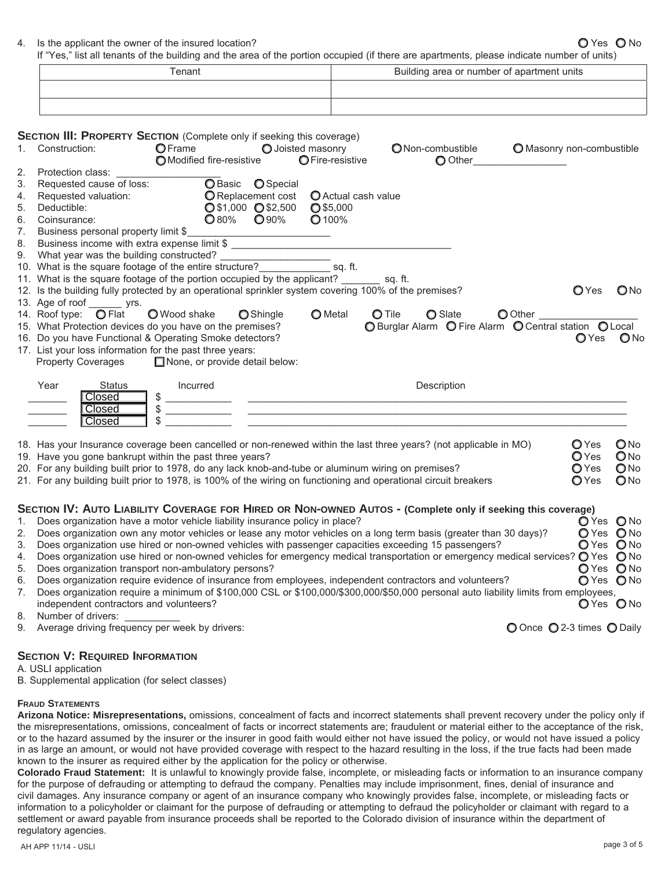4. Is the applicant the owner of the insured location?  $QYesQN$ 

If "Yes," list all tenants of the building and the area of the portion occupied (if there are apartments, please indicate number of units)

| Геnant |  | Building area or number of apartment units |
|--------|--|--------------------------------------------|
|        |  |                                            |
|        |  |                                            |

|    | <b>SECTION III: PROPERTY SECTION</b> (Complete only if seeking this coverage)                         |                                     |                                         |                                       |                                                                                                                                     |                           |              |                 |
|----|-------------------------------------------------------------------------------------------------------|-------------------------------------|-----------------------------------------|---------------------------------------|-------------------------------------------------------------------------------------------------------------------------------------|---------------------------|--------------|-----------------|
| 1. | Construction:                                                                                         | OFrame<br>O Modified fire-resistive |                                         | O Joisted masonry<br>O Fire-resistive | ONon-combustible<br>O Other                                                                                                         | O Masonry non-combustible |              |                 |
| 2. | Protection class:                                                                                     |                                     |                                         |                                       |                                                                                                                                     |                           |              |                 |
| 3. | Requested cause of loss:                                                                              |                                     | O Basic <b>O</b> Special                |                                       |                                                                                                                                     |                           |              |                 |
| 4. | Requested valuation:                                                                                  |                                     | O Replacement cost                      | O Actual cash value                   |                                                                                                                                     |                           |              |                 |
| 5. | Deductible:                                                                                           |                                     | Q\$1,000 Q\$2,500                       | $O$ \$5,000                           |                                                                                                                                     |                           |              |                 |
|    | 6. Coinsurance:                                                                                       | $\bigcirc$ 80%                      | <b>O</b> 90%                            | <b>O</b> 100%                         |                                                                                                                                     |                           |              |                 |
| 7. | Business personal property limit \$                                                                   |                                     |                                         |                                       |                                                                                                                                     |                           |              |                 |
|    | 8. Business income with extra expense limit \$ __________________________________                     |                                     |                                         |                                       |                                                                                                                                     |                           |              |                 |
|    | 9. What year was the building constructed?                                                            |                                     | <u> 1989 - Johann Barbara, martin a</u> |                                       |                                                                                                                                     |                           |              |                 |
|    | 10. What is the square footage of the entire structure?<br>sq. ft.                                    |                                     |                                         |                                       |                                                                                                                                     |                           |              |                 |
|    | 11. What is the square footage of the portion occupied by the applicant? ________ sq. ft.             |                                     |                                         |                                       |                                                                                                                                     |                           |              |                 |
|    | 12. Is the building fully protected by an operational sprinkler system covering 100% of the premises? |                                     |                                         |                                       |                                                                                                                                     |                           | <b>O</b> Yes | QN <sub>0</sub> |
|    | 13. Age of roof _______ yrs.                                                                          |                                     |                                         |                                       |                                                                                                                                     |                           |              |                 |
|    | 14. Roof type: <b>O</b> Flat                                                                          | O Wood shake                        | <b>O</b> Shingle                        | <b>O</b> Metal                        | $O$ Tile<br><b>O</b> Slate                                                                                                          | O Other                   |              |                 |
|    | 15. What Protection devices do you have on the premises?                                              |                                     |                                         |                                       |                                                                                                                                     |                           |              |                 |
|    | 16. Do you have Functional & Operating Smoke detectors?                                               |                                     |                                         |                                       |                                                                                                                                     |                           | <b>O</b> Yes | $\bigcirc$ No   |
|    | 17. List your loss information for the past three years:                                              |                                     |                                         |                                       |                                                                                                                                     |                           |              |                 |
|    | <b>Property Coverages</b>                                                                             | None, or provide detail below:      |                                         |                                       |                                                                                                                                     |                           |              |                 |
|    |                                                                                                       |                                     |                                         |                                       |                                                                                                                                     |                           |              |                 |
|    | Year<br><b>Status</b>                                                                                 | Incurred                            |                                         |                                       | Description                                                                                                                         |                           |              |                 |
|    | Closed                                                                                                | \$                                  |                                         |                                       | <u> Alexandria de la contrada de la contrada de la contrada de la contrada de la contrada de la contrada de la c</u>                |                           |              |                 |
|    | Closed                                                                                                | \$                                  |                                         |                                       |                                                                                                                                     |                           |              |                 |
|    | Closed                                                                                                | \$                                  |                                         |                                       |                                                                                                                                     |                           |              |                 |
|    |                                                                                                       |                                     |                                         |                                       |                                                                                                                                     |                           |              |                 |
|    |                                                                                                       |                                     |                                         |                                       | 18. Has your Insurance coverage been cancelled or non-renewed within the last three years? (not applicable in MO)                   |                           | $O$ Yes      | $\bigcirc$ No   |
|    | 19. Have you gone bankrupt within the past three years?                                               |                                     |                                         |                                       |                                                                                                                                     |                           | $O$ Yes      | $\bigcirc$ No   |
|    | 20. For any building built prior to 1978, do any lack knob-and-tube or aluminum wiring on premises?   |                                     |                                         |                                       |                                                                                                                                     |                           | OYes         | QN              |
|    |                                                                                                       |                                     |                                         |                                       | 21. For any building built prior to 1978, is 100% of the wiring on functioning and operational circuit breakers                     |                           | O Yes        | $\bigcirc$ No   |
|    |                                                                                                       |                                     |                                         |                                       |                                                                                                                                     |                           |              |                 |
|    |                                                                                                       |                                     |                                         |                                       | SECTION IV: AUTO LIABILITY COVERAGE FOR HIRED OR NON-OWNED AUTOS - (Complete only if seeking this coverage)                         |                           |              |                 |
| 1. | Does organization have a motor vehicle liability insurance policy in place?                           |                                     |                                         |                                       |                                                                                                                                     |                           | O Yes O No   |                 |
| 2. |                                                                                                       |                                     |                                         |                                       | Does organization own any motor vehicles or lease any motor vehicles on a long term basis (greater than 30 days)?                   |                           | O Yes O No   |                 |
| 3. |                                                                                                       |                                     |                                         |                                       | Does organization use hired or non-owned vehicles with passenger capacities exceeding 15 passengers?                                |                           | O Yes O No   |                 |
| 4. |                                                                                                       |                                     |                                         |                                       | Does organization use hired or non-owned vehicles for emergency medical transportation or emergency medical services? O Yes O No    |                           |              |                 |
| 5. | Does organization transport non-ambulatory persons?                                                   |                                     |                                         |                                       |                                                                                                                                     |                           | O Yes O No   |                 |
| 6. |                                                                                                       |                                     |                                         |                                       | Does organization require evidence of insurance from employees, independent contractors and volunteers?                             |                           | O Yes O No   |                 |
| 7. |                                                                                                       |                                     |                                         |                                       | Does organization require a minimum of \$100,000 CSL or \$100,000/\$300,000/\$50,000 personal auto liability limits from employees, |                           |              |                 |
|    | independent contractors and volunteers?                                                               |                                     |                                         |                                       |                                                                                                                                     |                           | O Yes O No   |                 |
|    | 8. Number of drivers:                                                                                 |                                     |                                         |                                       |                                                                                                                                     |                           |              |                 |

9. Average driving frequency per week by drivers: **O** Once **O** 2-3 times **O** Daily

### **SECTION V: REQUIRED INFORMATION**

- A. USLI application
- B. Supplemental application (for select classes)

## **FRAUD STATEMENTS**

**Arizona Notice: Misrepresentations,** omissions, concealment of facts and incorrect statements shall prevent recovery under the policy only if the misrepresentations, omissions, concealment of facts or incorrect statements are; fraudulent or material either to the acceptance of the risk, or to the hazard assumed by the insurer or the insurer in good faith would either not have issued the policy, or would not have issued a policy in as large an amount, or would not have provided coverage with respect to the hazard resulting in the loss, if the true facts had been made known to the insurer as required either by the application for the policy or otherwise.

**Colorado Fraud Statement:** It is unlawful to knowingly provide false, incomplete, or misleading facts or information to an insurance company for the purpose of defrauding or attempting to defraud the company. Penalties may include imprisonment, fines, denial of insurance and civil damages. Any insurance company or agent of an insurance company who knowingly provides false, incomplete, or misleading facts or information to a policyholder or claimant for the purpose of defrauding or attempting to defraud the policyholder or claimant with regard to a settlement or award payable from insurance proceeds shall be reported to the Colorado division of insurance within the department of regulatory agencies.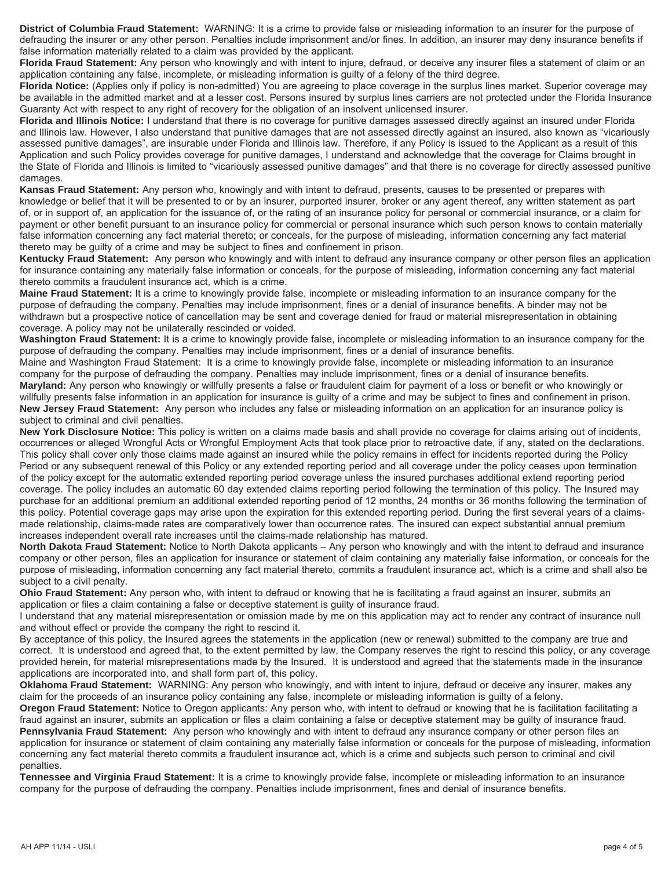**District of Columbia Fraud Statement:** WARNING: It is a crime to provide false or misleading information to an insurer for the purpose of defrauding the insurer or any other person. Penalties include imprisonment and/or fines. In addition, an insurer may deny insurance benefits if false information materially related to a claim was provided by the applicant.

**Florida Fraud Statement:** Any person who knowingly and with intent to injure, defraud, or deceive any insurer files a statement of claim or an application containing any false, incomplete, or misleading information is guilty of a felony of the third degree.

**Florida Notice:** (Applies only if policy is non-admitted) You are agreeing to place coverage in the surplus lines market. Superior coverage may be available in the admitted market and at a lesser cost. Persons insured by surplus lines carriers are not protected under the Florida Insurance Guaranty Act with respect to any right of recovery for the obligation of an insolvent unlicensed insurer.

**Florida and Illinois Notice:** I understand that there is no coverage for punitive damages assessed directly against an insured under Florida and Illinois law. However, I also understand that punitive damages that are not assessed directly against an insured, also known as "vicariously assessed punitive damages", are insurable under Florida and Illinois law. Therefore, if any Policy is issued to the Applicant as a result of this Application and such Policy provides coverage for punitive damages, I understand and acknowledge that the coverage for Claims brought in the State of Florida and Illinois is limited to "vicariously assessed punitive damages" and that there is no coverage for directly assessed punitive damages.

**Kansas Fraud Statement:** Any person who, knowingly and with intent to defraud, presents, causes to be presented or prepares with knowledge or belief that it will be presented to or by an insurer, purported insurer, broker or any agent thereof, any written statement as part of, or in support of, an application for the issuance of, or the rating of an insurance policy for personal or commercial insurance, or a claim for payment or other benefit pursuant to an insurance policy for commercial or personal insurance which such person knows to contain materially false information concerning any fact material thereto; or conceals, for the purpose of misleading, information concerning any fact material thereto may be guilty of a crime and may be subject to fines and confinement in prison.

**Kentucky Fraud Statement:** Any person who knowingly and with intent to defraud any insurance company or other person files an application for insurance containing any materially false information or conceals, for the purpose of misleading, information concerning any fact material thereto commits a fraudulent insurance act, which is a crime.

**Maine Fraud Statement:** It is a crime to knowingly provide false, incomplete or misleading information to an insurance company for the purpose of defrauding the company. Penalties may include imprisonment, fines or a denial of insurance benefits. A binder may not be withdrawn but a prospective notice of cancellation may be sent and coverage denied for fraud or material misrepresentation in obtaining coverage. A policy may not be unilaterally rescinded or voided.

**Washington Fraud Statement:** It is a crime to knowingly provide false, incomplete or misleading information to an insurance company for the purpose of defrauding the company. Penalties may include imprisonment, fines or a denial of insurance benefits.

Maine and Washington Fraud Statement: It is a crime to knowingly provide false, incomplete or misleading information to an insurance company for the purpose of defrauding the company. Penalties may include imprisonment, fines or a denial of insurance benefits. **Maryland:** Any person who knowingly or willfully presents a false or fraudulent claim for payment of a loss or benefit or who knowingly or willfully presents false information in an application for insurance is guilty of a crime and may be subject to fines and confinement in prison. **New Jersey Fraud Statement:** Any person who includes any false or misleading information on an application for an insurance policy is subject to criminal and civil penalties.

**New York Disclosure Notice:** This policy is written on a claims made basis and shall provide no coverage for claims arising out of incidents, occurrences or alleged Wrongful Acts or Wrongful Employment Acts that took place prior to retroactive date, if any, stated on the declarations. This policy shall cover only those claims made against an insured while the policy remains in effect for incidents reported during the Policy Period or any subsequent renewal of this Policy or any extended reporting period and all coverage under the policy ceases upon termination of the policy except for the automatic extended reporting period coverage unless the insured purchases additional extend reporting period coverage. The policy includes an automatic 60 day extended claims reporting period following the termination of this policy. The Insured may purchase for an additional premium an additional extended reporting period of 12 months, 24 months or 36 months following the termination of this policy. Potential coverage gaps may arise upon the expiration for this extended reporting period. During the first several years of a claimsmade relationship, claims-made rates are comparatively lower than occurrence rates. The insured can expect substantial annual premium increases independent overall rate increases until the claims-made relationship has matured.

**North Dakota Fraud Statement:** Notice to North Dakota applicants – Any person who knowingly and with the intent to defraud and insurance company or other person, files an application for insurance or statement of claim containing any materially false information, or conceals for the purpose of misleading, information concerning any fact material thereto, commits a fraudulent insurance act, which is a crime and shall also be subject to a civil penalty.

**Ohio Fraud Statement:** Any person who, with intent to defraud or knowing that he is facilitating a fraud against an insurer, submits an application or files a claim containing a false or deceptive statement is guilty of insurance fraud.

I understand that any material misrepresentation or omission made by me on this application may act to render any contract of insurance null and without effect or provide the company the right to rescind it.

By acceptance of this policy, the Insured agrees the statements in the application (new or renewal) submitted to the company are true and correct. It is understood and agreed that, to the extent permitted by law, the Company reserves the right to rescind this policy, or any coverage provided herein, for material misrepresentations made by the Insured. It is understood and agreed that the statements made in the insurance applications are incorporated into, and shall form part of, this policy.

**Oklahoma Fraud Statement:** WARNING: Any person who knowingly, and with intent to injure, defraud or deceive any insurer, makes any claim for the proceeds of an insurance policy containing any false, incomplete or misleading information is guilty of a felony.

**Oregon Fraud Statement:** Notice to Oregon applicants: Any person who, with intent to defraud or knowing that he is facilitation facilitating a fraud against an insurer, submits an application or files a claim containing a false or deceptive statement may be guilty of insurance fraud. **Pennsylvania Fraud Statement:** Any person who knowingly and with intent to defraud any insurance company or other person files an application for insurance or statement of claim containing any materially false information or conceals for the purpose of misleading, information concerning any fact material thereto commits a fraudulent insurance act, which is a crime and subjects such person to criminal and civil penalties.

**Tennessee and Virginia Fraud Statement:** It is a crime to knowingly provide false, incomplete or misleading information to an insurance company for the purpose of defrauding the company. Penalties include imprisonment, fines and denial of insurance benefits.